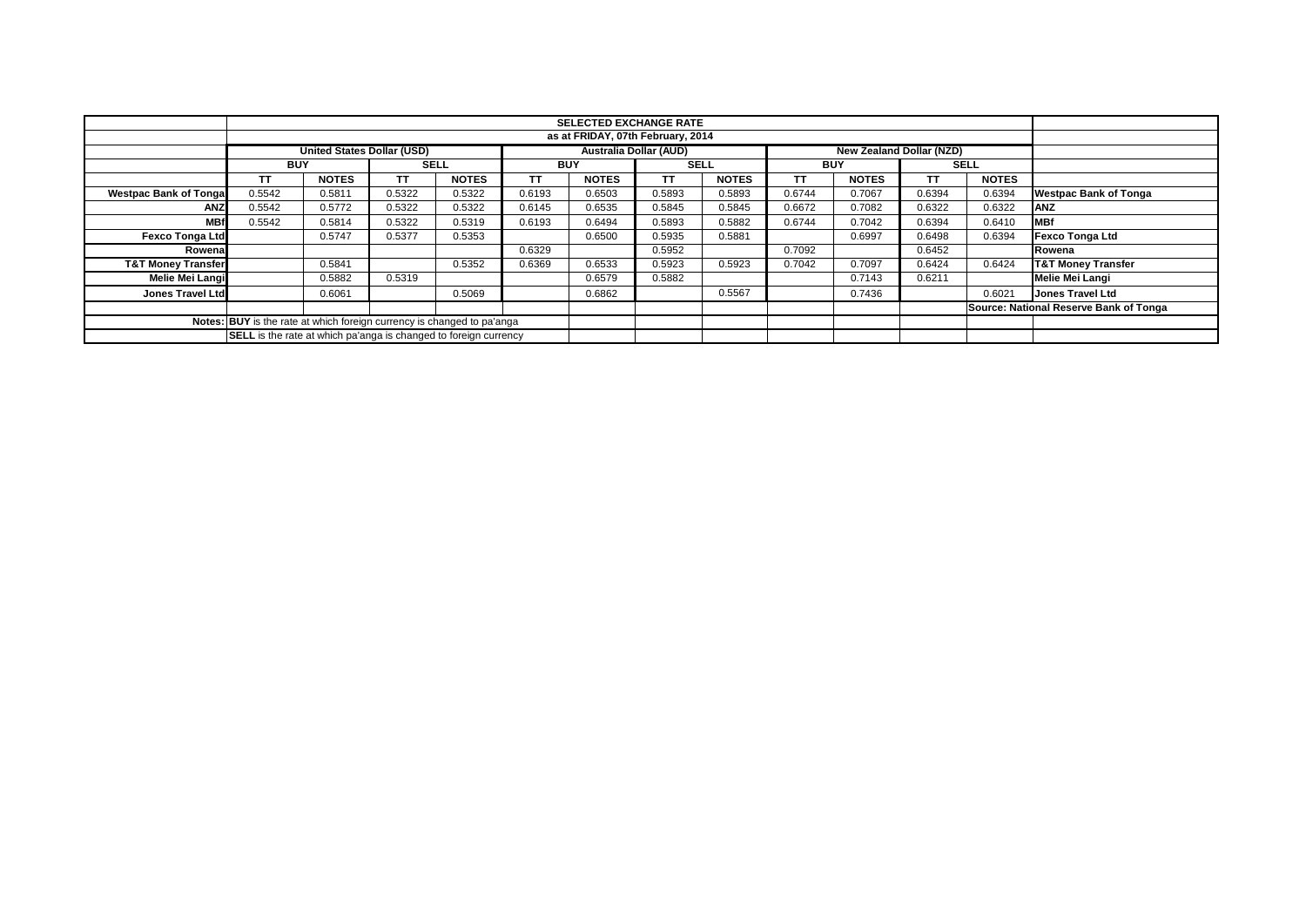|                                                                        |                                                                                                | <b>SELECTED EXCHANGE RATE</b> |        |              |           |              |           |              |        |              |        |              |                                        |
|------------------------------------------------------------------------|------------------------------------------------------------------------------------------------|-------------------------------|--------|--------------|-----------|--------------|-----------|--------------|--------|--------------|--------|--------------|----------------------------------------|
|                                                                        |                                                                                                |                               |        |              |           |              |           |              |        |              |        |              |                                        |
|                                                                        | as at FRIDAY, 07th February, 2014                                                              |                               |        |              |           |              |           |              |        |              |        |              |                                        |
|                                                                        | <b>United States Dollar (USD)</b><br><b>Australia Dollar (AUD)</b><br>New Zealand Dollar (NZD) |                               |        |              |           |              |           |              |        |              |        |              |                                        |
|                                                                        | <b>BUY</b>                                                                                     |                               |        | <b>SELL</b>  |           | <b>BUY</b>   |           | <b>SELL</b>  |        | <b>BUY</b>   |        | <b>SELL</b>  |                                        |
|                                                                        |                                                                                                | <b>NOTES</b>                  | ΤT     | <b>NOTES</b> | <b>TT</b> | <b>NOTES</b> | <b>TT</b> | <b>NOTES</b> | ΤT     | <b>NOTES</b> | TΤ     | <b>NOTES</b> |                                        |
| <b>Westpac Bank of Tongal</b>                                          | 0.5542                                                                                         | 0.5811                        | 0.5322 | 0.5322       | 0.6193    | 0.6503       | 0.5893    | 0.5893       | 0.6744 | 0.7067       | 0.6394 | 0.6394       | <b>Westpac Bank of Tonga</b>           |
| <b>ANZ</b>                                                             | 0.5542                                                                                         | 0.5772                        | 0.5322 | 0.5322       | 0.6145    | 0.6535       | 0.5845    | 0.5845       | 0.6672 | 0.7082       | 0.6322 | 0.6322       | ANZ                                    |
| <b>MBf</b>                                                             | 0.5542                                                                                         | 0.5814                        | 0.5322 | 0.5319       | 0.6193    | 0.6494       | 0.5893    | 0.5882       | 0.6744 | 0.7042       | 0.6394 | 0.6410       | <b>MBf</b>                             |
| <b>Fexco Tonga Ltd</b>                                                 |                                                                                                | 0.5747                        | 0.5377 | 0.5353       |           | 0.6500       | 0.5935    | 0.5881       |        | 0.6997       | 0.6498 | 0.6394       | <b>Fexco Tonga Ltd</b>                 |
| Rowenal                                                                |                                                                                                |                               |        |              | 0.6329    |              | 0.5952    |              | 0.7092 |              | 0.6452 |              | Rowena                                 |
| <b>T&amp;T Money Transfer</b>                                          |                                                                                                | 0.5841                        |        | 0.5352       | 0.6369    | 0.6533       | 0.5923    | 0.5923       | 0.7042 | 0.7097       | 0.6424 | 0.6424       | <b>T&amp;T Money Transfer</b>          |
| Melie Mei Langi                                                        |                                                                                                | 0.5882                        | 0.5319 |              |           | 0.6579       | 0.5882    |              |        | 0.7143       | 0.6211 |              | <b>Melie Mei Langi</b>                 |
| Jones Travel Ltd                                                       |                                                                                                | 0.6061                        |        | 0.5069       |           | 0.6862       |           | 0.5567       |        | 0.7436       |        | 0.6021       | <b>Jones Travel Ltd</b>                |
|                                                                        |                                                                                                |                               |        |              |           |              |           |              |        |              |        |              | Source: National Reserve Bank of Tonga |
| Notes: BUY is the rate at which foreign currency is changed to pa'anga |                                                                                                |                               |        |              |           |              |           |              |        |              |        |              |                                        |
|                                                                        | SELL is the rate at which pa'anga is changed to foreign currency                               |                               |        |              |           |              |           |              |        |              |        |              |                                        |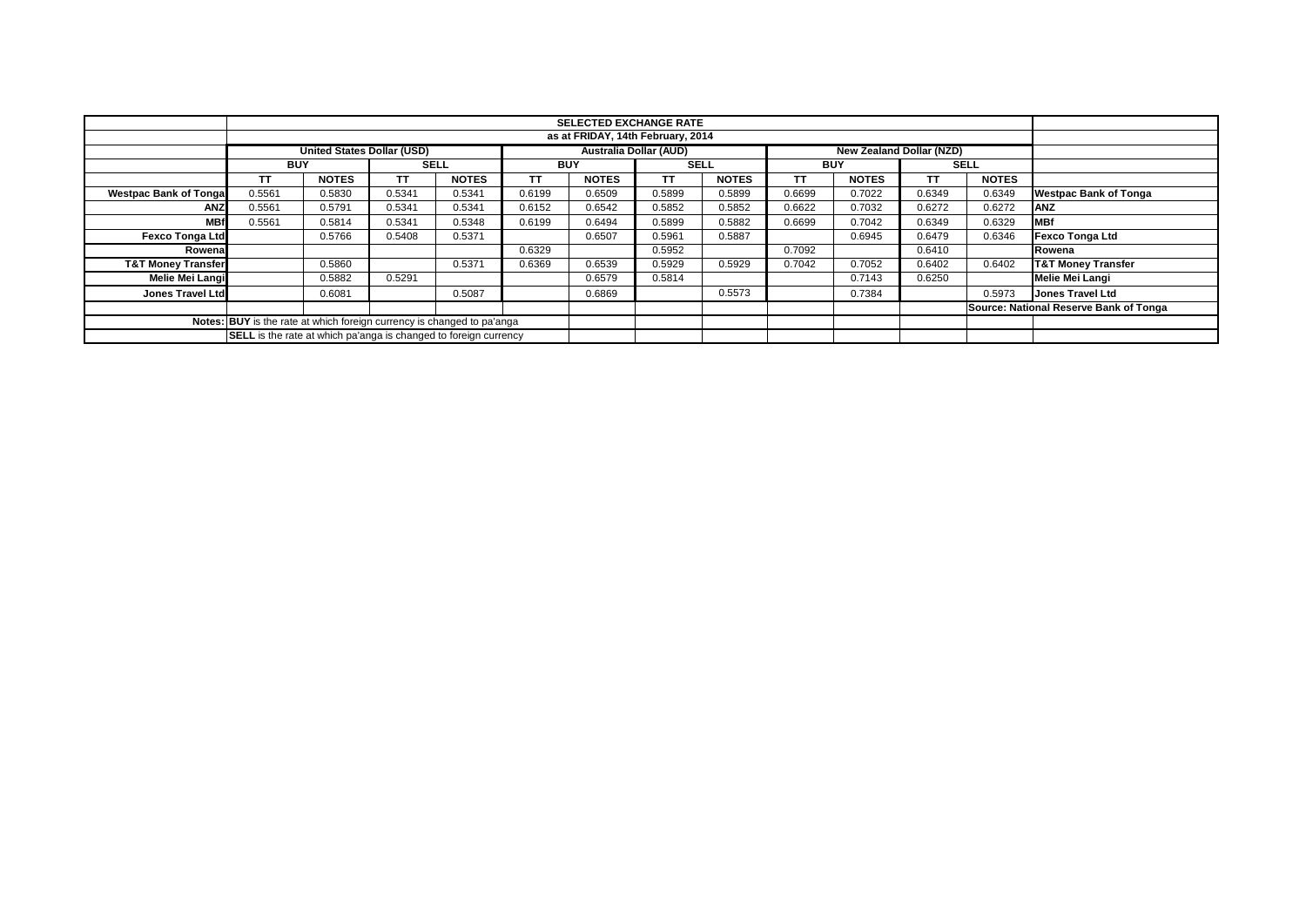|                                                                        |                                                                                                | <b>SELECTED EXCHANGE RATE</b>                                    |        |              |            |              |             |              |            |              |        |              |                                        |
|------------------------------------------------------------------------|------------------------------------------------------------------------------------------------|------------------------------------------------------------------|--------|--------------|------------|--------------|-------------|--------------|------------|--------------|--------|--------------|----------------------------------------|
|                                                                        |                                                                                                |                                                                  |        |              |            |              |             |              |            |              |        |              |                                        |
|                                                                        | as at FRIDAY, 14th February, 2014                                                              |                                                                  |        |              |            |              |             |              |            |              |        |              |                                        |
|                                                                        | <b>United States Dollar (USD)</b><br><b>Australia Dollar (AUD)</b><br>New Zealand Dollar (NZD) |                                                                  |        |              |            |              |             |              |            |              |        |              |                                        |
|                                                                        |                                                                                                | <b>BUY</b>                                                       |        | <b>SELL</b>  | <b>BUY</b> |              | <b>SELL</b> |              | <b>BUY</b> |              |        | <b>SELL</b>  |                                        |
|                                                                        |                                                                                                | <b>NOTES</b>                                                     | ΤT     | <b>NOTES</b> | <b>TT</b>  | <b>NOTES</b> | <b>TT</b>   | <b>NOTES</b> | ΤT         | <b>NOTES</b> | TΤ     | <b>NOTES</b> |                                        |
| <b>Westpac Bank of Tongal</b>                                          | 0.5561                                                                                         | 0.5830                                                           | 0.5341 | 0.5341       | 0.6199     | 0.6509       | 0.5899      | 0.5899       | 0.6699     | 0.7022       | 0.6349 | 0.6349       | <b>Westpac Bank of Tonga</b>           |
| <b>ANZ</b>                                                             | 0.5561                                                                                         | 0.5791                                                           | 0.5341 | 0.5341       | 0.6152     | 0.6542       | 0.5852      | 0.5852       | 0.6622     | 0.7032       | 0.6272 | 0.6272       | ANZ                                    |
| <b>MBf</b>                                                             | 0.5561                                                                                         | 0.5814                                                           | 0.5341 | 0.5348       | 0.6199     | 0.6494       | 0.5899      | 0.5882       | 0.6699     | 0.7042       | 0.6349 | 0.6329       | <b>MBf</b>                             |
| <b>Fexco Tonga Ltd</b>                                                 |                                                                                                | 0.5766                                                           | 0.5408 | 0.5371       |            | 0.6507       | 0.5961      | 0.5887       |            | 0.6945       | 0.6479 | 0.6346       | <b>Fexco Tonga Ltd</b>                 |
| Rowenal                                                                |                                                                                                |                                                                  |        |              | 0.6329     |              | 0.5952      |              | 0.7092     |              | 0.6410 |              | Rowena                                 |
| <b>T&amp;T Money Transfer</b>                                          |                                                                                                | 0.5860                                                           |        | 0.5371       | 0.6369     | 0.6539       | 0.5929      | 0.5929       | 0.7042     | 0.7052       | 0.6402 | 0.6402       | <b>T&amp;T Money Transfer</b>          |
| Melie Mei Langi                                                        |                                                                                                | 0.5882                                                           | 0.5291 |              |            | 0.6579       | 0.5814      |              |            | 0.7143       | 0.6250 |              | <b>Melie Mei Langi</b>                 |
| Jones Travel Ltd                                                       |                                                                                                | 0.6081                                                           |        | 0.5087       |            | 0.6869       |             | 0.5573       |            | 0.7384       |        | 0.5973       | <b>Jones Travel Ltd</b>                |
|                                                                        |                                                                                                |                                                                  |        |              |            |              |             |              |            |              |        |              | Source: National Reserve Bank of Tonga |
| Notes: BUY is the rate at which foreign currency is changed to pa'anga |                                                                                                |                                                                  |        |              |            |              |             |              |            |              |        |              |                                        |
|                                                                        |                                                                                                | SELL is the rate at which pa'anga is changed to foreign currency |        |              |            |              |             |              |            |              |        |              |                                        |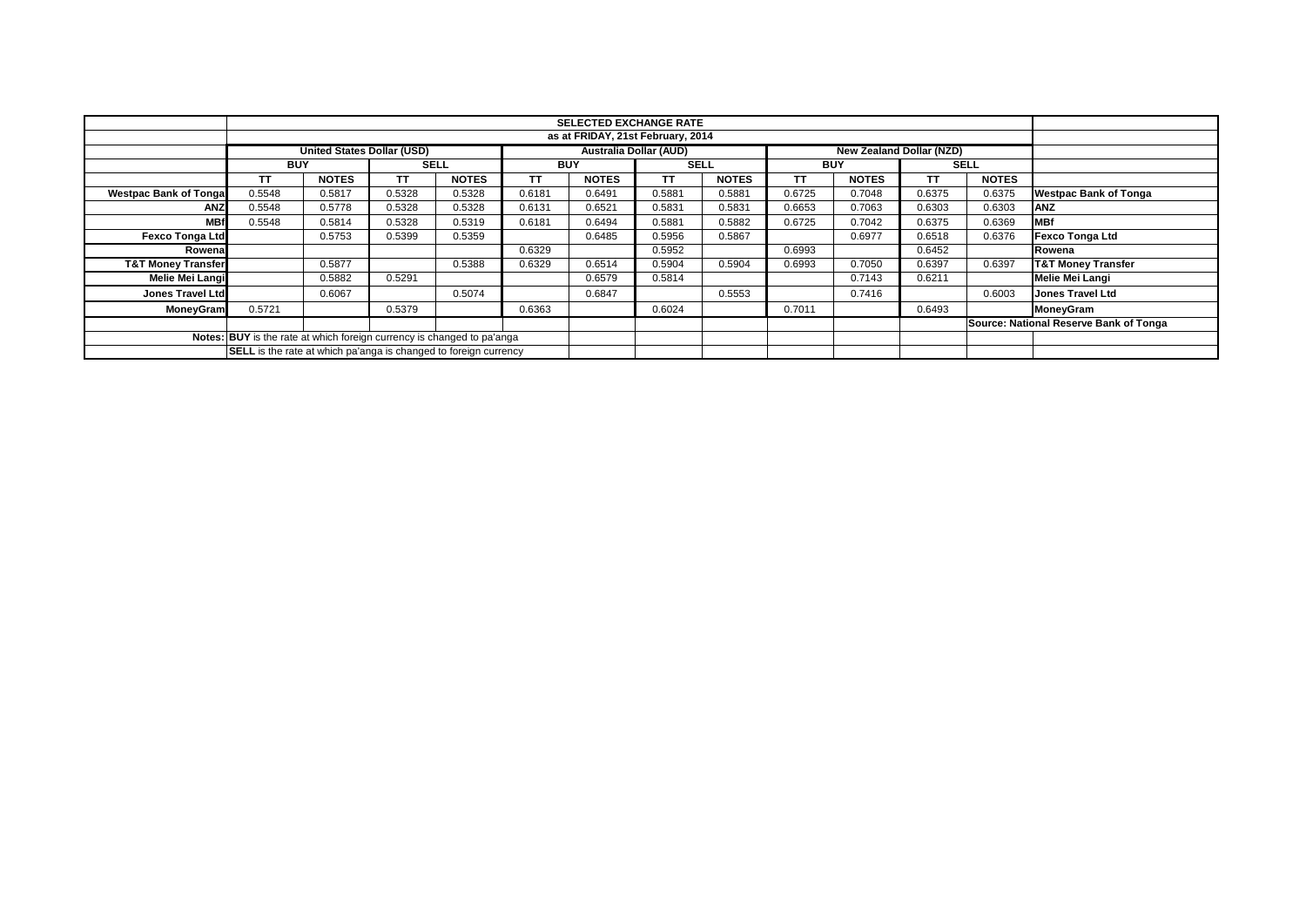|                                                                                  | <b>SELECTED EXCHANGE RATE</b> |                                                                                         |             |              |           |                                   |        |              |        |              |        |              |                                        |
|----------------------------------------------------------------------------------|-------------------------------|-----------------------------------------------------------------------------------------|-------------|--------------|-----------|-----------------------------------|--------|--------------|--------|--------------|--------|--------------|----------------------------------------|
|                                                                                  |                               |                                                                                         |             |              |           | as at FRIDAY, 21st February, 2014 |        |              |        |              |        |              |                                        |
|                                                                                  |                               |                                                                                         |             |              |           |                                   |        |              |        |              |        |              |                                        |
|                                                                                  |                               | <b>Australia Dollar (AUD)</b><br>United States Dollar (USD)<br>New Zealand Dollar (NZD) |             |              |           |                                   |        |              |        |              |        |              |                                        |
|                                                                                  | <b>BUY</b>                    |                                                                                         | <b>SELL</b> |              |           | <b>BUY</b>                        |        | <b>SELL</b>  |        | <b>BUY</b>   |        | <b>SELL</b>  |                                        |
|                                                                                  |                               | <b>NOTES</b>                                                                            | тт          | <b>NOTES</b> | <b>TT</b> | <b>NOTES</b>                      | TT     | <b>NOTES</b> | ΤT     | <b>NOTES</b> | ТT     | <b>NOTES</b> |                                        |
| <b>Westpac Bank of Tongal</b>                                                    | 0.5548                        | 0.5817                                                                                  | 0.5328      | 0.5328       | 0.6181    | 0.6491                            | 0.5881 | 0.5881       | 0.6725 | 0.7048       | 0.6375 | 0.6375       | <b>Westpac Bank of Tonga</b>           |
| ANZ                                                                              | 0.5548                        | 0.5778                                                                                  | 0.5328      | 0.5328       | 0.6131    | 0.6521                            | 0.5831 | 0.5831       | 0.6653 | 0.7063       | 0.6303 | 0.6303       | <b>ANZ</b>                             |
| <b>MBf</b>                                                                       | 0.5548                        | 0.5814                                                                                  | 0.5328      | 0.5319       | 0.6181    | 0.6494                            | 0.5881 | 0.5882       | 0.6725 | 0.7042       | 0.6375 | 0.6369       | <b>IMBf</b>                            |
| <b>Fexco Tonga Ltd</b>                                                           |                               | 0.5753                                                                                  | 0.5399      | 0.5359       |           | 0.6485                            | 0.5956 | 0.5867       |        | 0.6977       | 0.6518 | 0.6376       | <b>Fexco Tonga Ltd</b>                 |
| Rowena                                                                           |                               |                                                                                         |             |              | 0.6329    |                                   | 0.5952 |              | 0.6993 |              | 0.6452 |              | Rowena                                 |
| <b>T&amp;T Money Transfer</b>                                                    |                               | 0.5877                                                                                  |             | 0.5388       | 0.6329    | 0.6514                            | 0.5904 | 0.5904       | 0.6993 | 0.7050       | 0.6397 | 0.6397       | <b>T&amp;T Money Transfer</b>          |
| Melie Mei Langi                                                                  |                               | 0.5882                                                                                  | 0.5291      |              |           | 0.6579                            | 0.5814 |              |        | 0.7143       | 0.6211 |              | Melie Mei Langi                        |
| <b>Jones Travel Ltd</b>                                                          |                               | 0.6067                                                                                  |             | 0.5074       |           | 0.6847                            |        | 0.5553       |        | 0.7416       |        | 0.6003       | <b>Jones Travel Ltd</b>                |
| <b>MoneyGram</b>                                                                 | 0.5721                        |                                                                                         | 0.5379      |              | 0.6363    |                                   | 0.6024 |              | 0.7011 |              | 0.6493 |              | MoneyGram                              |
|                                                                                  |                               |                                                                                         |             |              |           |                                   |        |              |        |              |        |              | Source: National Reserve Bank of Tonga |
| <b>BUY</b> is the rate at which foreign currency is changed to pa'anga<br>Notes: |                               |                                                                                         |             |              |           |                                   |        |              |        |              |        |              |                                        |
| <b>SELL</b> is the rate at which pa'anga is changed to foreign currency          |                               |                                                                                         |             |              |           |                                   |        |              |        |              |        |              |                                        |